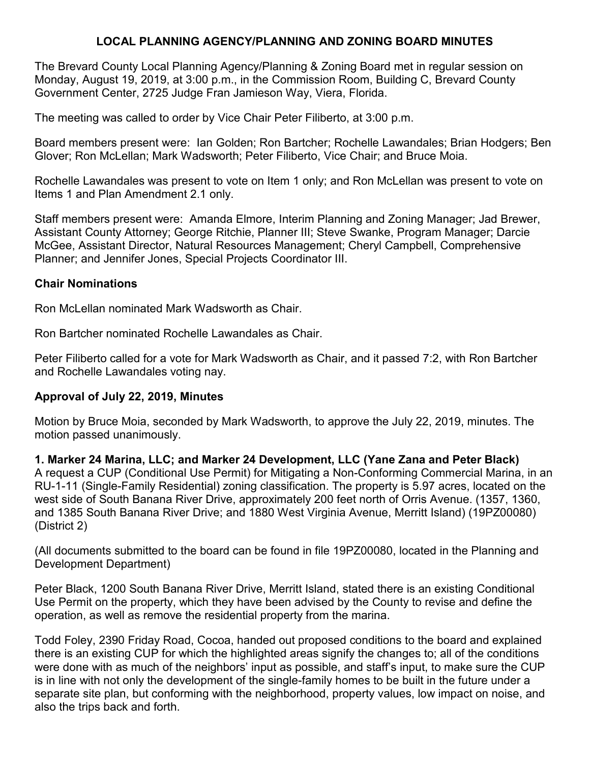# **LOCAL PLANNING AGENCY/PLANNING AND ZONING BOARD MINUTES**

The Brevard County Local Planning Agency/Planning & Zoning Board met in regular session on Monday, August 19, 2019, at 3:00 p.m., in the Commission Room, Building C, Brevard County Government Center, 2725 Judge Fran Jamieson Way, Viera, Florida.

The meeting was called to order by Vice Chair Peter Filiberto, at 3:00 p.m.

Board members present were: Ian Golden; Ron Bartcher; Rochelle Lawandales; Brian Hodgers; Ben Glover; Ron McLellan; Mark Wadsworth; Peter Filiberto, Vice Chair; and Bruce Moia.

Rochelle Lawandales was present to vote on Item 1 only; and Ron McLellan was present to vote on Items 1 and Plan Amendment 2.1 only.

Staff members present were: Amanda Elmore, Interim Planning and Zoning Manager; Jad Brewer, Assistant County Attorney; George Ritchie, Planner III; Steve Swanke, Program Manager; Darcie McGee, Assistant Director, Natural Resources Management; Cheryl Campbell, Comprehensive Planner; and Jennifer Jones, Special Projects Coordinator III.

#### **Chair Nominations**

Ron McLellan nominated Mark Wadsworth as Chair.

Ron Bartcher nominated Rochelle Lawandales as Chair.

Peter Filiberto called for a vote for Mark Wadsworth as Chair, and it passed 7:2, with Ron Bartcher and Rochelle Lawandales voting nay.

## **Approval of July 22, 2019, Minutes**

Motion by Bruce Moia, seconded by Mark Wadsworth, to approve the July 22, 2019, minutes. The motion passed unanimously.

**1. Marker 24 Marina, LLC; and Marker 24 Development, LLC (Yane Zana and Peter Black)** A request a CUP (Conditional Use Permit) for Mitigating a Non-Conforming Commercial Marina, in an RU-1-11 (Single-Family Residential) zoning classification. The property is 5.97 acres, located on the west side of South Banana River Drive, approximately 200 feet north of Orris Avenue. (1357, 1360, and 1385 South Banana River Drive; and 1880 West Virginia Avenue, Merritt Island) (19PZ00080) (District 2)

(All documents submitted to the board can be found in file 19PZ00080, located in the Planning and Development Department)

Peter Black, 1200 South Banana River Drive, Merritt Island, stated there is an existing Conditional Use Permit on the property, which they have been advised by the County to revise and define the operation, as well as remove the residential property from the marina.

Todd Foley, 2390 Friday Road, Cocoa, handed out proposed conditions to the board and explained there is an existing CUP for which the highlighted areas signify the changes to; all of the conditions were done with as much of the neighbors' input as possible, and staff's input, to make sure the CUP is in line with not only the development of the single-family homes to be built in the future under a separate site plan, but conforming with the neighborhood, property values, low impact on noise, and also the trips back and forth.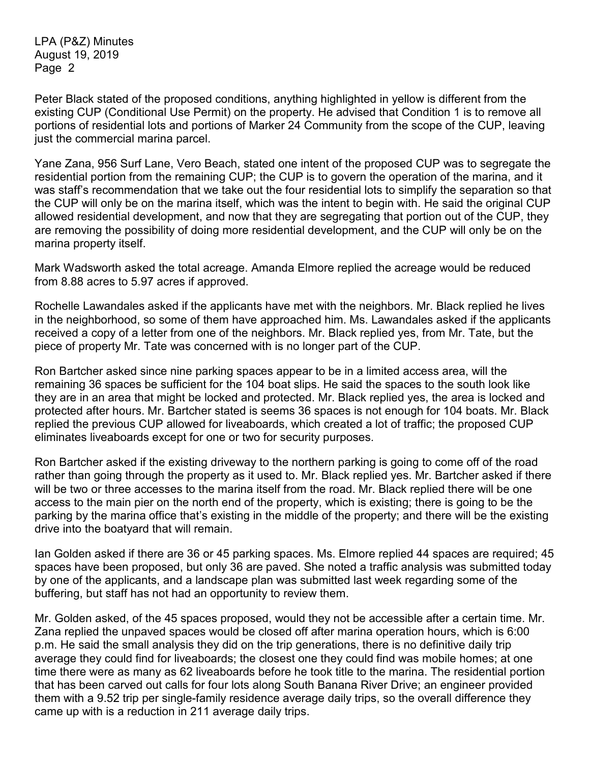Peter Black stated of the proposed conditions, anything highlighted in yellow is different from the existing CUP (Conditional Use Permit) on the property. He advised that Condition 1 is to remove all portions of residential lots and portions of Marker 24 Community from the scope of the CUP, leaving just the commercial marina parcel.

Yane Zana, 956 Surf Lane, Vero Beach, stated one intent of the proposed CUP was to segregate the residential portion from the remaining CUP; the CUP is to govern the operation of the marina, and it was staff's recommendation that we take out the four residential lots to simplify the separation so that the CUP will only be on the marina itself, which was the intent to begin with. He said the original CUP allowed residential development, and now that they are segregating that portion out of the CUP, they are removing the possibility of doing more residential development, and the CUP will only be on the marina property itself.

Mark Wadsworth asked the total acreage. Amanda Elmore replied the acreage would be reduced from 8.88 acres to 5.97 acres if approved.

Rochelle Lawandales asked if the applicants have met with the neighbors. Mr. Black replied he lives in the neighborhood, so some of them have approached him. Ms. Lawandales asked if the applicants received a copy of a letter from one of the neighbors. Mr. Black replied yes, from Mr. Tate, but the piece of property Mr. Tate was concerned with is no longer part of the CUP.

Ron Bartcher asked since nine parking spaces appear to be in a limited access area, will the remaining 36 spaces be sufficient for the 104 boat slips. He said the spaces to the south look like they are in an area that might be locked and protected. Mr. Black replied yes, the area is locked and protected after hours. Mr. Bartcher stated is seems 36 spaces is not enough for 104 boats. Mr. Black replied the previous CUP allowed for liveaboards, which created a lot of traffic; the proposed CUP eliminates liveaboards except for one or two for security purposes.

Ron Bartcher asked if the existing driveway to the northern parking is going to come off of the road rather than going through the property as it used to. Mr. Black replied yes. Mr. Bartcher asked if there will be two or three accesses to the marina itself from the road. Mr. Black replied there will be one access to the main pier on the north end of the property, which is existing; there is going to be the parking by the marina office that's existing in the middle of the property; and there will be the existing drive into the boatyard that will remain.

Ian Golden asked if there are 36 or 45 parking spaces. Ms. Elmore replied 44 spaces are required; 45 spaces have been proposed, but only 36 are paved. She noted a traffic analysis was submitted today by one of the applicants, and a landscape plan was submitted last week regarding some of the buffering, but staff has not had an opportunity to review them.

Mr. Golden asked, of the 45 spaces proposed, would they not be accessible after a certain time. Mr. Zana replied the unpaved spaces would be closed off after marina operation hours, which is 6:00 p.m. He said the small analysis they did on the trip generations, there is no definitive daily trip average they could find for liveaboards; the closest one they could find was mobile homes; at one time there were as many as 62 liveaboards before he took title to the marina. The residential portion that has been carved out calls for four lots along South Banana River Drive; an engineer provided them with a 9.52 trip per single-family residence average daily trips, so the overall difference they came up with is a reduction in 211 average daily trips.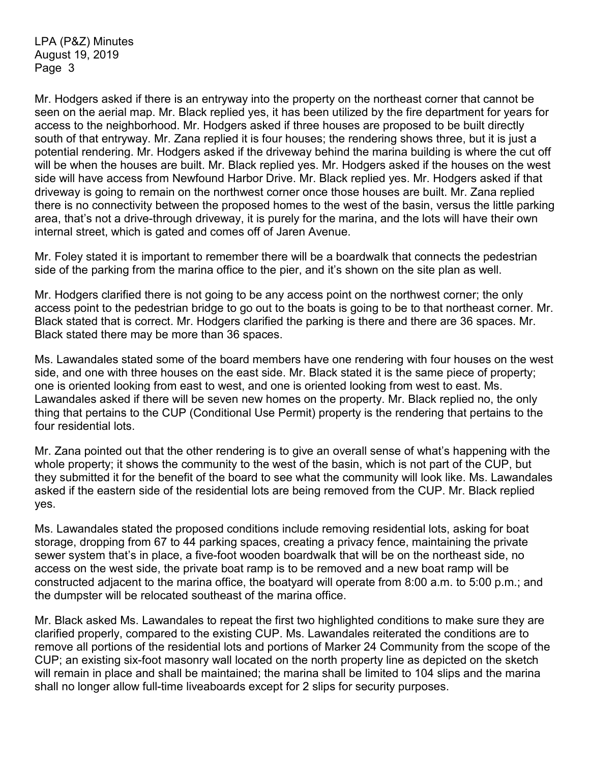Mr. Hodgers asked if there is an entryway into the property on the northeast corner that cannot be seen on the aerial map. Mr. Black replied yes, it has been utilized by the fire department for years for access to the neighborhood. Mr. Hodgers asked if three houses are proposed to be built directly south of that entryway. Mr. Zana replied it is four houses; the rendering shows three, but it is just a potential rendering. Mr. Hodgers asked if the driveway behind the marina building is where the cut off will be when the houses are built. Mr. Black replied yes. Mr. Hodgers asked if the houses on the west side will have access from Newfound Harbor Drive. Mr. Black replied yes. Mr. Hodgers asked if that driveway is going to remain on the northwest corner once those houses are built. Mr. Zana replied there is no connectivity between the proposed homes to the west of the basin, versus the little parking area, that's not a drive-through driveway, it is purely for the marina, and the lots will have their own internal street, which is gated and comes off of Jaren Avenue.

Mr. Foley stated it is important to remember there will be a boardwalk that connects the pedestrian side of the parking from the marina office to the pier, and it's shown on the site plan as well.

Mr. Hodgers clarified there is not going to be any access point on the northwest corner; the only access point to the pedestrian bridge to go out to the boats is going to be to that northeast corner. Mr. Black stated that is correct. Mr. Hodgers clarified the parking is there and there are 36 spaces. Mr. Black stated there may be more than 36 spaces.

Ms. Lawandales stated some of the board members have one rendering with four houses on the west side, and one with three houses on the east side. Mr. Black stated it is the same piece of property; one is oriented looking from east to west, and one is oriented looking from west to east. Ms. Lawandales asked if there will be seven new homes on the property. Mr. Black replied no, the only thing that pertains to the CUP (Conditional Use Permit) property is the rendering that pertains to the four residential lots.

Mr. Zana pointed out that the other rendering is to give an overall sense of what's happening with the whole property; it shows the community to the west of the basin, which is not part of the CUP, but they submitted it for the benefit of the board to see what the community will look like. Ms. Lawandales asked if the eastern side of the residential lots are being removed from the CUP. Mr. Black replied yes.

Ms. Lawandales stated the proposed conditions include removing residential lots, asking for boat storage, dropping from 67 to 44 parking spaces, creating a privacy fence, maintaining the private sewer system that's in place, a five-foot wooden boardwalk that will be on the northeast side, no access on the west side, the private boat ramp is to be removed and a new boat ramp will be constructed adjacent to the marina office, the boatyard will operate from 8:00 a.m. to 5:00 p.m.; and the dumpster will be relocated southeast of the marina office.

Mr. Black asked Ms. Lawandales to repeat the first two highlighted conditions to make sure they are clarified properly, compared to the existing CUP. Ms. Lawandales reiterated the conditions are to remove all portions of the residential lots and portions of Marker 24 Community from the scope of the CUP; an existing six-foot masonry wall located on the north property line as depicted on the sketch will remain in place and shall be maintained; the marina shall be limited to 104 slips and the marina shall no longer allow full-time liveaboards except for 2 slips for security purposes.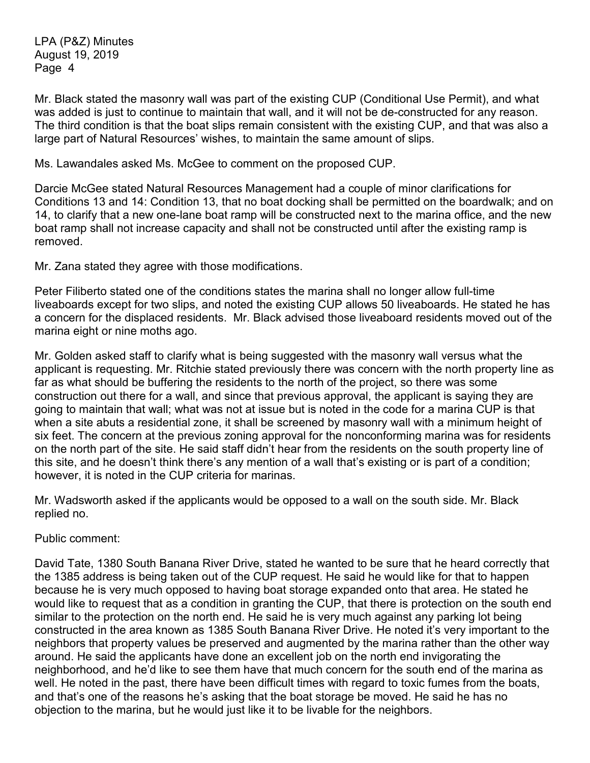Mr. Black stated the masonry wall was part of the existing CUP (Conditional Use Permit), and what was added is just to continue to maintain that wall, and it will not be de-constructed for any reason. The third condition is that the boat slips remain consistent with the existing CUP, and that was also a large part of Natural Resources' wishes, to maintain the same amount of slips.

Ms. Lawandales asked Ms. McGee to comment on the proposed CUP.

Darcie McGee stated Natural Resources Management had a couple of minor clarifications for Conditions 13 and 14: Condition 13, that no boat docking shall be permitted on the boardwalk; and on 14, to clarify that a new one-lane boat ramp will be constructed next to the marina office, and the new boat ramp shall not increase capacity and shall not be constructed until after the existing ramp is removed.

Mr. Zana stated they agree with those modifications.

Peter Filiberto stated one of the conditions states the marina shall no longer allow full-time liveaboards except for two slips, and noted the existing CUP allows 50 liveaboards. He stated he has a concern for the displaced residents. Mr. Black advised those liveaboard residents moved out of the marina eight or nine moths ago.

Mr. Golden asked staff to clarify what is being suggested with the masonry wall versus what the applicant is requesting. Mr. Ritchie stated previously there was concern with the north property line as far as what should be buffering the residents to the north of the project, so there was some construction out there for a wall, and since that previous approval, the applicant is saying they are going to maintain that wall; what was not at issue but is noted in the code for a marina CUP is that when a site abuts a residential zone, it shall be screened by masonry wall with a minimum height of six feet. The concern at the previous zoning approval for the nonconforming marina was for residents on the north part of the site. He said staff didn't hear from the residents on the south property line of this site, and he doesn't think there's any mention of a wall that's existing or is part of a condition; however, it is noted in the CUP criteria for marinas.

Mr. Wadsworth asked if the applicants would be opposed to a wall on the south side. Mr. Black replied no.

Public comment:

David Tate, 1380 South Banana River Drive, stated he wanted to be sure that he heard correctly that the 1385 address is being taken out of the CUP request. He said he would like for that to happen because he is very much opposed to having boat storage expanded onto that area. He stated he would like to request that as a condition in granting the CUP, that there is protection on the south end similar to the protection on the north end. He said he is very much against any parking lot being constructed in the area known as 1385 South Banana River Drive. He noted it's very important to the neighbors that property values be preserved and augmented by the marina rather than the other way around. He said the applicants have done an excellent job on the north end invigorating the neighborhood, and he'd like to see them have that much concern for the south end of the marina as well. He noted in the past, there have been difficult times with regard to toxic fumes from the boats, and that's one of the reasons he's asking that the boat storage be moved. He said he has no objection to the marina, but he would just like it to be livable for the neighbors.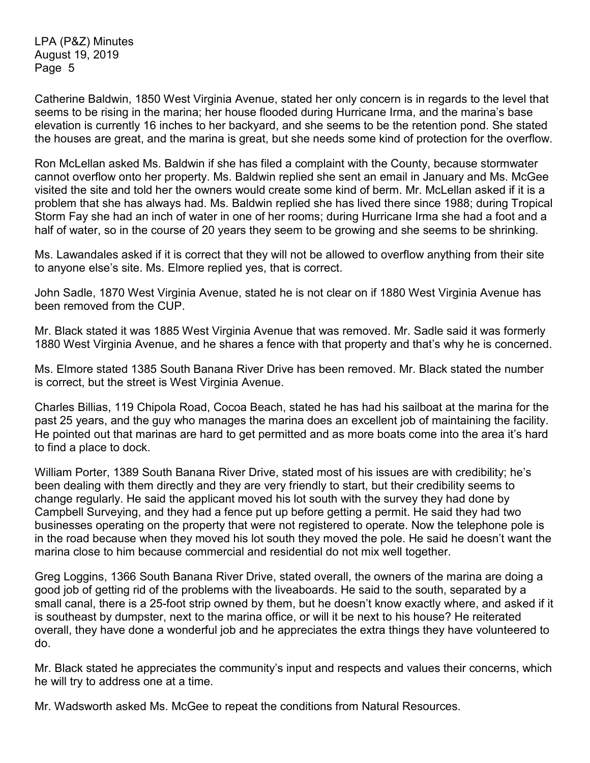Catherine Baldwin, 1850 West Virginia Avenue, stated her only concern is in regards to the level that seems to be rising in the marina; her house flooded during Hurricane Irma, and the marina's base elevation is currently 16 inches to her backyard, and she seems to be the retention pond. She stated the houses are great, and the marina is great, but she needs some kind of protection for the overflow.

Ron McLellan asked Ms. Baldwin if she has filed a complaint with the County, because stormwater cannot overflow onto her property. Ms. Baldwin replied she sent an email in January and Ms. McGee visited the site and told her the owners would create some kind of berm. Mr. McLellan asked if it is a problem that she has always had. Ms. Baldwin replied she has lived there since 1988; during Tropical Storm Fay she had an inch of water in one of her rooms; during Hurricane Irma she had a foot and a half of water, so in the course of 20 years they seem to be growing and she seems to be shrinking.

Ms. Lawandales asked if it is correct that they will not be allowed to overflow anything from their site to anyone else's site. Ms. Elmore replied yes, that is correct.

John Sadle, 1870 West Virginia Avenue, stated he is not clear on if 1880 West Virginia Avenue has been removed from the CUP

Mr. Black stated it was 1885 West Virginia Avenue that was removed. Mr. Sadle said it was formerly 1880 West Virginia Avenue, and he shares a fence with that property and that's why he is concerned.

Ms. Elmore stated 1385 South Banana River Drive has been removed. Mr. Black stated the number is correct, but the street is West Virginia Avenue.

Charles Billias, 119 Chipola Road, Cocoa Beach, stated he has had his sailboat at the marina for the past 25 years, and the guy who manages the marina does an excellent job of maintaining the facility. He pointed out that marinas are hard to get permitted and as more boats come into the area it's hard to find a place to dock.

William Porter, 1389 South Banana River Drive, stated most of his issues are with credibility; he's been dealing with them directly and they are very friendly to start, but their credibility seems to change regularly. He said the applicant moved his lot south with the survey they had done by Campbell Surveying, and they had a fence put up before getting a permit. He said they had two businesses operating on the property that were not registered to operate. Now the telephone pole is in the road because when they moved his lot south they moved the pole. He said he doesn't want the marina close to him because commercial and residential do not mix well together.

Greg Loggins, 1366 South Banana River Drive, stated overall, the owners of the marina are doing a good job of getting rid of the problems with the liveaboards. He said to the south, separated by a small canal, there is a 25-foot strip owned by them, but he doesn't know exactly where, and asked if it is southeast by dumpster, next to the marina office, or will it be next to his house? He reiterated overall, they have done a wonderful job and he appreciates the extra things they have volunteered to do.

Mr. Black stated he appreciates the community's input and respects and values their concerns, which he will try to address one at a time.

Mr. Wadsworth asked Ms. McGee to repeat the conditions from Natural Resources.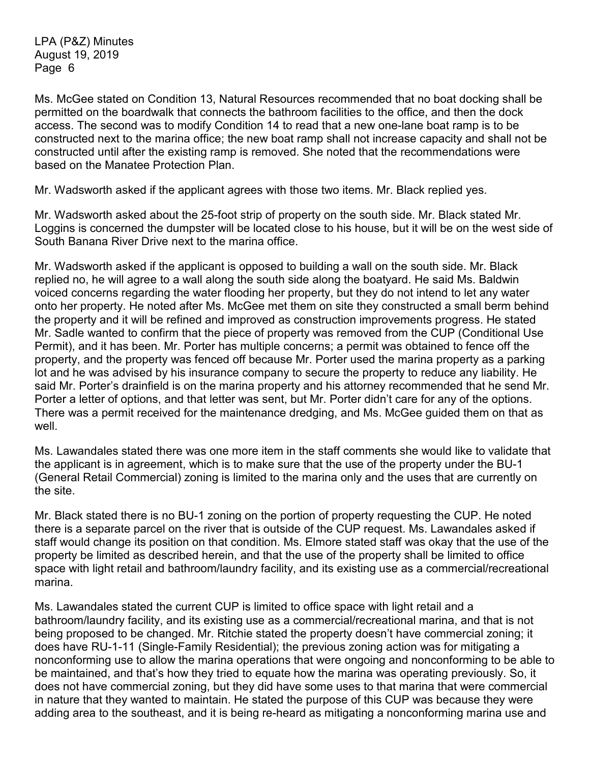Ms. McGee stated on Condition 13, Natural Resources recommended that no boat docking shall be permitted on the boardwalk that connects the bathroom facilities to the office, and then the dock access. The second was to modify Condition 14 to read that a new one-lane boat ramp is to be constructed next to the marina office; the new boat ramp shall not increase capacity and shall not be constructed until after the existing ramp is removed. She noted that the recommendations were based on the Manatee Protection Plan.

Mr. Wadsworth asked if the applicant agrees with those two items. Mr. Black replied yes.

Mr. Wadsworth asked about the 25-foot strip of property on the south side. Mr. Black stated Mr. Loggins is concerned the dumpster will be located close to his house, but it will be on the west side of South Banana River Drive next to the marina office.

Mr. Wadsworth asked if the applicant is opposed to building a wall on the south side. Mr. Black replied no, he will agree to a wall along the south side along the boatyard. He said Ms. Baldwin voiced concerns regarding the water flooding her property, but they do not intend to let any water onto her property. He noted after Ms. McGee met them on site they constructed a small berm behind the property and it will be refined and improved as construction improvements progress. He stated Mr. Sadle wanted to confirm that the piece of property was removed from the CUP (Conditional Use Permit), and it has been. Mr. Porter has multiple concerns; a permit was obtained to fence off the property, and the property was fenced off because Mr. Porter used the marina property as a parking lot and he was advised by his insurance company to secure the property to reduce any liability. He said Mr. Porter's drainfield is on the marina property and his attorney recommended that he send Mr. Porter a letter of options, and that letter was sent, but Mr. Porter didn't care for any of the options. There was a permit received for the maintenance dredging, and Ms. McGee guided them on that as well.

Ms. Lawandales stated there was one more item in the staff comments she would like to validate that the applicant is in agreement, which is to make sure that the use of the property under the BU-1 (General Retail Commercial) zoning is limited to the marina only and the uses that are currently on the site.

Mr. Black stated there is no BU-1 zoning on the portion of property requesting the CUP. He noted there is a separate parcel on the river that is outside of the CUP request. Ms. Lawandales asked if staff would change its position on that condition. Ms. Elmore stated staff was okay that the use of the property be limited as described herein, and that the use of the property shall be limited to office space with light retail and bathroom/laundry facility, and its existing use as a commercial/recreational marina.

Ms. Lawandales stated the current CUP is limited to office space with light retail and a bathroom/laundry facility, and its existing use as a commercial/recreational marina, and that is not being proposed to be changed. Mr. Ritchie stated the property doesn't have commercial zoning; it does have RU-1-11 (Single-Family Residential); the previous zoning action was for mitigating a nonconforming use to allow the marina operations that were ongoing and nonconforming to be able to be maintained, and that's how they tried to equate how the marina was operating previously. So, it does not have commercial zoning, but they did have some uses to that marina that were commercial in nature that they wanted to maintain. He stated the purpose of this CUP was because they were adding area to the southeast, and it is being re-heard as mitigating a nonconforming marina use and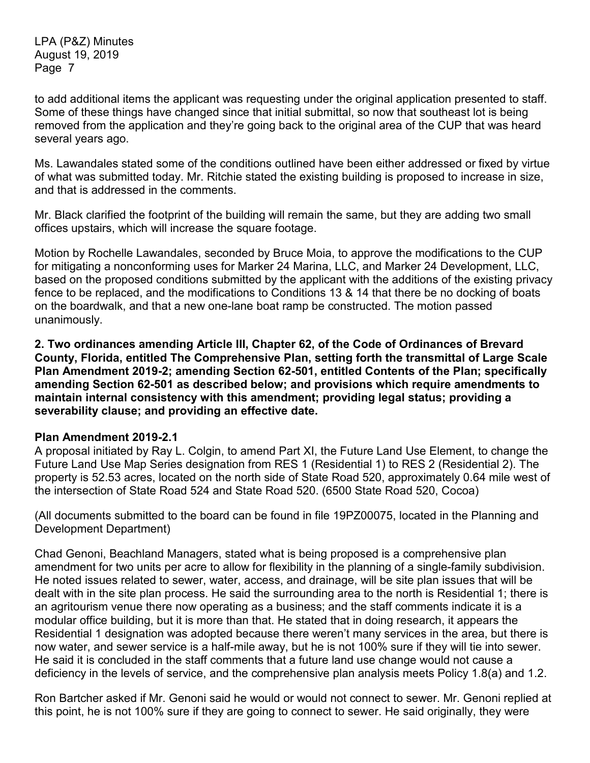to add additional items the applicant was requesting under the original application presented to staff. Some of these things have changed since that initial submittal, so now that southeast lot is being removed from the application and they're going back to the original area of the CUP that was heard several years ago.

Ms. Lawandales stated some of the conditions outlined have been either addressed or fixed by virtue of what was submitted today. Mr. Ritchie stated the existing building is proposed to increase in size, and that is addressed in the comments.

Mr. Black clarified the footprint of the building will remain the same, but they are adding two small offices upstairs, which will increase the square footage.

Motion by Rochelle Lawandales, seconded by Bruce Moia, to approve the modifications to the CUP for mitigating a nonconforming uses for Marker 24 Marina, LLC, and Marker 24 Development, LLC, based on the proposed conditions submitted by the applicant with the additions of the existing privacy fence to be replaced, and the modifications to Conditions 13 & 14 that there be no docking of boats on the boardwalk, and that a new one-lane boat ramp be constructed. The motion passed unanimously.

**2. Two ordinances amending Article III, Chapter 62, of the Code of Ordinances of Brevard County, Florida, entitled The Comprehensive Plan, setting forth the transmittal of Large Scale Plan Amendment 2019-2; amending Section 62-501, entitled Contents of the Plan; specifically amending Section 62-501 as described below; and provisions which require amendments to maintain internal consistency with this amendment; providing legal status; providing a severability clause; and providing an effective date.**

## **Plan Amendment 2019-2.1**

A proposal initiated by Ray L. Colgin, to amend Part XI, the Future Land Use Element, to change the Future Land Use Map Series designation from RES 1 (Residential 1) to RES 2 (Residential 2). The property is 52.53 acres, located on the north side of State Road 520, approximately 0.64 mile west of the intersection of State Road 524 and State Road 520. (6500 State Road 520, Cocoa)

(All documents submitted to the board can be found in file 19PZ00075, located in the Planning and Development Department)

Chad Genoni, Beachland Managers, stated what is being proposed is a comprehensive plan amendment for two units per acre to allow for flexibility in the planning of a single-family subdivision. He noted issues related to sewer, water, access, and drainage, will be site plan issues that will be dealt with in the site plan process. He said the surrounding area to the north is Residential 1; there is an agritourism venue there now operating as a business; and the staff comments indicate it is a modular office building, but it is more than that. He stated that in doing research, it appears the Residential 1 designation was adopted because there weren't many services in the area, but there is now water, and sewer service is a half-mile away, but he is not 100% sure if they will tie into sewer. He said it is concluded in the staff comments that a future land use change would not cause a deficiency in the levels of service, and the comprehensive plan analysis meets Policy 1.8(a) and 1.2.

Ron Bartcher asked if Mr. Genoni said he would or would not connect to sewer. Mr. Genoni replied at this point, he is not 100% sure if they are going to connect to sewer. He said originally, they were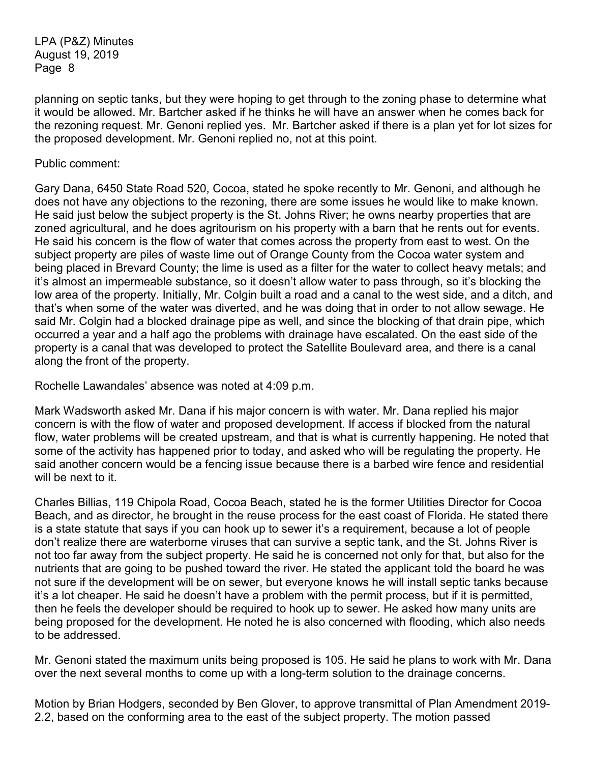planning on septic tanks, but they were hoping to get through to the zoning phase to determine what it would be allowed. Mr. Bartcher asked if he thinks he will have an answer when he comes back for the rezoning request. Mr. Genoni replied yes. Mr. Bartcher asked if there is a plan yet for lot sizes for the proposed development. Mr. Genoni replied no, not at this point.

### Public comment:

Gary Dana, 6450 State Road 520, Cocoa, stated he spoke recently to Mr. Genoni, and although he does not have any objections to the rezoning, there are some issues he would like to make known. He said just below the subject property is the St. Johns River; he owns nearby properties that are zoned agricultural, and he does agritourism on his property with a barn that he rents out for events. He said his concern is the flow of water that comes across the property from east to west. On the subject property are piles of waste lime out of Orange County from the Cocoa water system and being placed in Brevard County; the lime is used as a filter for the water to collect heavy metals; and it's almost an impermeable substance, so it doesn't allow water to pass through, so it's blocking the low area of the property. Initially, Mr. Colgin built a road and a canal to the west side, and a ditch, and that's when some of the water was diverted, and he was doing that in order to not allow sewage. He said Mr. Colgin had a blocked drainage pipe as well, and since the blocking of that drain pipe, which occurred a year and a half ago the problems with drainage have escalated. On the east side of the property is a canal that was developed to protect the Satellite Boulevard area, and there is a canal along the front of the property.

Rochelle Lawandales' absence was noted at 4:09 p.m.

Mark Wadsworth asked Mr. Dana if his major concern is with water. Mr. Dana replied his major concern is with the flow of water and proposed development. If access if blocked from the natural flow, water problems will be created upstream, and that is what is currently happening. He noted that some of the activity has happened prior to today, and asked who will be regulating the property. He said another concern would be a fencing issue because there is a barbed wire fence and residential will be next to it.

Charles Billias, 119 Chipola Road, Cocoa Beach, stated he is the former Utilities Director for Cocoa Beach, and as director, he brought in the reuse process for the east coast of Florida. He stated there is a state statute that says if you can hook up to sewer it's a requirement, because a lot of people don't realize there are waterborne viruses that can survive a septic tank, and the St. Johns River is not too far away from the subject property. He said he is concerned not only for that, but also for the nutrients that are going to be pushed toward the river. He stated the applicant told the board he was not sure if the development will be on sewer, but everyone knows he will install septic tanks because it's a lot cheaper. He said he doesn't have a problem with the permit process, but if it is permitted, then he feels the developer should be required to hook up to sewer. He asked how many units are being proposed for the development. He noted he is also concerned with flooding, which also needs to be addressed.

Mr. Genoni stated the maximum units being proposed is 105. He said he plans to work with Mr. Dana over the next several months to come up with a long-term solution to the drainage concerns.

Motion by Brian Hodgers, seconded by Ben Glover, to approve transmittal of Plan Amendment 2019- 2.2, based on the conforming area to the east of the subject property. The motion passed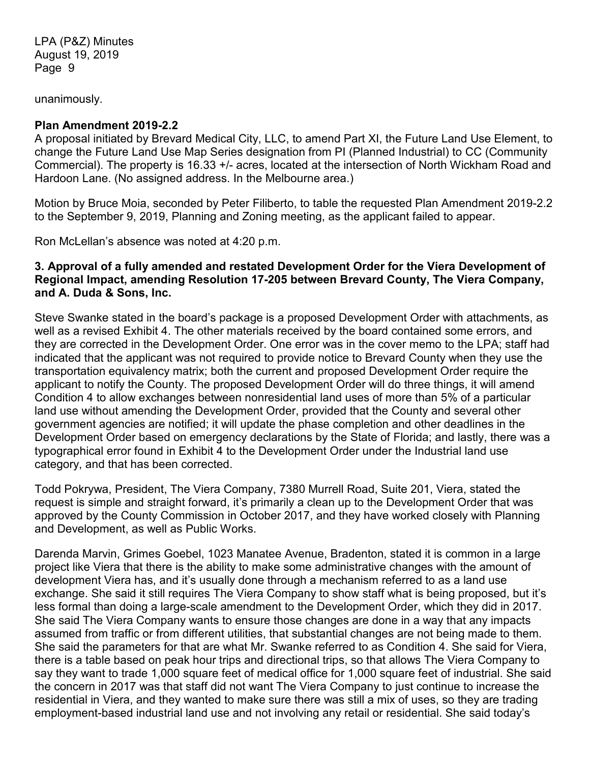unanimously.

### **Plan Amendment 2019-2.2**

A proposal initiated by Brevard Medical City, LLC, to amend Part XI, the Future Land Use Element, to change the Future Land Use Map Series designation from PI (Planned Industrial) to CC (Community Commercial). The property is 16.33 +/- acres, located at the intersection of North Wickham Road and Hardoon Lane. (No assigned address. In the Melbourne area.)

Motion by Bruce Moia, seconded by Peter Filiberto, to table the requested Plan Amendment 2019-2.2 to the September 9, 2019, Planning and Zoning meeting, as the applicant failed to appear.

Ron McLellan's absence was noted at 4:20 p.m.

## **3. Approval of a fully amended and restated Development Order for the Viera Development of Regional Impact, amending Resolution 17-205 between Brevard County, The Viera Company, and A. Duda & Sons, Inc.**

Steve Swanke stated in the board's package is a proposed Development Order with attachments, as well as a revised Exhibit 4. The other materials received by the board contained some errors, and they are corrected in the Development Order. One error was in the cover memo to the LPA; staff had indicated that the applicant was not required to provide notice to Brevard County when they use the transportation equivalency matrix; both the current and proposed Development Order require the applicant to notify the County. The proposed Development Order will do three things, it will amend Condition 4 to allow exchanges between nonresidential land uses of more than 5% of a particular land use without amending the Development Order, provided that the County and several other government agencies are notified; it will update the phase completion and other deadlines in the Development Order based on emergency declarations by the State of Florida; and lastly, there was a typographical error found in Exhibit 4 to the Development Order under the Industrial land use category, and that has been corrected.

Todd Pokrywa, President, The Viera Company, 7380 Murrell Road, Suite 201, Viera, stated the request is simple and straight forward, it's primarily a clean up to the Development Order that was approved by the County Commission in October 2017, and they have worked closely with Planning and Development, as well as Public Works.

Darenda Marvin, Grimes Goebel, 1023 Manatee Avenue, Bradenton, stated it is common in a large project like Viera that there is the ability to make some administrative changes with the amount of development Viera has, and it's usually done through a mechanism referred to as a land use exchange. She said it still requires The Viera Company to show staff what is being proposed, but it's less formal than doing a large-scale amendment to the Development Order, which they did in 2017. She said The Viera Company wants to ensure those changes are done in a way that any impacts assumed from traffic or from different utilities, that substantial changes are not being made to them. She said the parameters for that are what Mr. Swanke referred to as Condition 4. She said for Viera, there is a table based on peak hour trips and directional trips, so that allows The Viera Company to say they want to trade 1,000 square feet of medical office for 1,000 square feet of industrial. She said the concern in 2017 was that staff did not want The Viera Company to just continue to increase the residential in Viera, and they wanted to make sure there was still a mix of uses, so they are trading employment-based industrial land use and not involving any retail or residential. She said today's